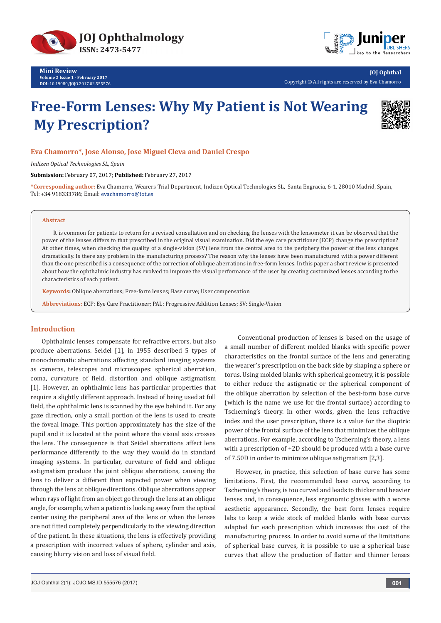



**JOJ Ophthal** Copyright © All rights are reserved by Eva Chamorro

# **Free-Form Lenses: Why My Patient is Not Wearing My Prescription?**



## **Eva Chamorro\*, Jose Alonso, Jose Miguel Cleva and Daniel Crespo**

*Indizen Optical Technologies SL, Spain* 

**Submission:** February 07, 2017; **Published:** February 27, 2017

**\*Corresponding author:** Eva Chamorro, Wearers Trial Department, Indizen Optical Technologies SL, Santa Engracia, 6-1. 28010 Madrid, Spain, Tel: +34 918333786: Email: evachamorro@iot.es

#### **Abstract**

It is common for patients to return for a revised consultation and on checking the lenses with the lensometer it can be observed that the power of the lenses differs to that prescribed in the original visual examination. Did the eye care practitioner (ECP) change the prescription? At other times, when checking the quality of a single-vision (SV) lens from the central area to the periphery the power of the lens changes dramatically. Is there any problem in the manufacturing process? The reason why the lenses have been manufactured with a power different than the one prescribed is a consequence of the correction of oblique aberrations in free-form lenses. In this paper a short review is presented about how the ophthalmic industry has evolved to improve the visual performance of the user by creating customized lenses according to the characteristics of each patient.

**Keywords:** Oblique aberrations; Free-form lenses; Base curve; User compensation

**Abbreviations:** ECP: Eye Care Practitioner; PAL: Progressive Addition Lenses; SV: Single-Vision

# **Introduction**

Ophthalmic lenses compensate for refractive errors, but also produce aberrations. Seidel [1], in 1955 described 5 types of monochromatic aberrations affecting standard imaging systems as cameras, telescopes and microscopes: spherical aberration, coma, curvature of field, distortion and oblique astigmatism [1]. However, an ophthalmic lens has particular properties that require a slightly different approach. Instead of being used at full field, the ophthalmic lens is scanned by the eye behind it. For any gaze direction, only a small portion of the lens is used to create the foveal image. This portion approximately has the size of the pupil and it is located at the point where the visual axis crosses the lens. The consequence is that Seidel aberrations affect lens performance differently to the way they would do in standard imaging systems. In particular, curvature of field and oblique astigmatism produce the joint oblique aberrations, causing the lens to deliver a different than expected power when viewing through the lens at oblique directions. Oblique aberrations appear when rays of light from an object go through the lens at an oblique angle, for example, when a patient is looking away from the optical center using the peripheral area of the lens or when the lenses are not fitted completely perpendicularly to the viewing direction of the patient. In these situations, the lens is effectively providing a prescription with incorrect values of sphere, cylinder and axis, causing blurry vision and loss of visual field.

 Conventional production of lenses is based on the usage of a small number of different molded blanks with specific power characteristics on the frontal surface of the lens and generating the wearer's prescription on the back side by shaping a sphere or torus. Using molded blanks with spherical geometry, it is possible to either reduce the astigmatic or the spherical component of the oblique aberration by selection of the best-form base curve (which is the name we use for the frontal surface) according to Tscherning's theory. In other words, given the lens refractive index and the user prescription, there is a value for the dioptric power of the frontal surface of the lens that minimizes the oblique aberrations. For example, according to Tscherning's theory, a lens with a prescription of +2D should be produced with a base curve of 7.50D in order to minimize oblique astigmatism [2,3].

However, in practice, this selection of base curve has some limitations. First, the recommended base curve, according to Tscherning's theory, is too curved and leads to thicker and heavier lenses and, in consequence, less ergonomic glasses with a worse aesthetic appearance. Secondly, the best form lenses require labs to keep a wide stock of molded blanks with base curves adapted for each prescription which increases the cost of the manufacturing process. In order to avoid some of the limitations of spherical base curves, it is possible to use a spherical base curves that allow the production of flatter and thinner lenses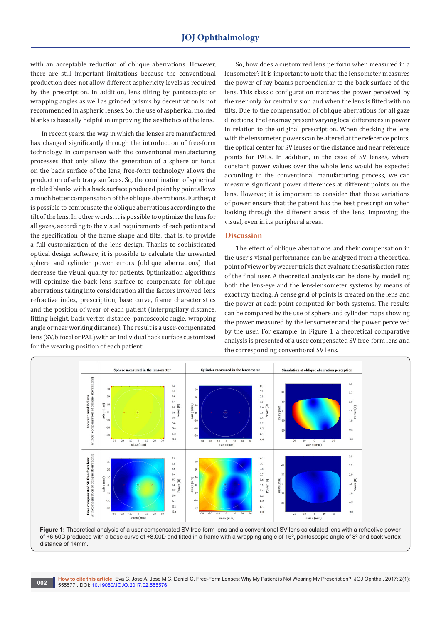with an acceptable reduction of oblique aberrations. However, there are still important limitations because the conventional production does not allow different asphericity levels as required by the prescription. In addition, lens tilting by pantoscopic or wrapping angles as well as grinded prisms by decentration is not recommended in aspheric lenses. So, the use of aspherical molded blanks is basically helpful in improving the aesthetics of the lens.

In recent years, the way in which the lenses are manufactured has changed significantly through the introduction of free-form technology. In comparison with the conventional manufacturing processes that only allow the generation of a sphere or torus on the back surface of the lens, free-form technology allows the production of arbitrary surfaces. So, the combination of spherical molded blanks with a back surface produced point by point allows a much better compensation of the oblique aberrations. Further, it is possible to compensate the oblique aberrations according to the tilt of the lens. In other words, it is possible to optimize the lens for all gazes, according to the visual requirements of each patient and the specification of the frame shape and tilts, that is, to provide a full customization of the lens design. Thanks to sophisticated optical design software, it is possible to calculate the unwanted sphere and cylinder power errors (oblique aberrations) that decrease the visual quality for patients. 0ptimization algorithms will optimize the back lens surface to compensate for oblique aberrations taking into consideration all the factors involved: lens refractive index, prescription, base curve, frame characteristics and the position of wear of each patient (interpupilary distance, fitting height, back vertex distance, pantoscopic angle, wrapping angle or near working distance). The result is a user-compensated lens (SV, bifocal or PAL) with an individual back surface customized for the wearing position of each patient.

So, how does a customized lens perform when measured in a lensometer? It is important to note that the lensometer measures the power of ray beams perpendicular to the back surface of the lens. This classic configuration matches the power perceived by the user only for central vision and when the lens is fitted with no tilts. Due to the compensation of oblique aberrations for all gaze directions, the lens may present varying local differences in power in relation to the original prescription. When checking the lens with the lensometer, powers can be altered at the reference points: the optical center for SV lenses or the distance and near reference points for PALs. In addition, in the case of SV lenses, where constant power values over the whole lens would be expected according to the conventional manufacturing process, we can measure significant power differences at different points on the lens. However, it is important to consider that these variations of power ensure that the patient has the best prescription when looking through the different areas of the lens, improving the visual, even in its peripheral areas.

## **Discussion**

The effect of oblique aberrations and their compensation in the user's visual performance can be analyzed from a theoretical point of view or by wearer trials that evaluate the satisfaction rates of the final user. A theoretical analysis can be done by modelling both the lens-eye and the lens-lensometer systems by means of exact ray tracing. A dense grid of points is created on the lens and the power at each point computed for both systems. The results can be compared by the use of sphere and cylinder maps showing the power measured by the lensometer and the power perceived by the user. For example, in Figure 1 a theoretical comparative analysis is presented of a user compensated SV free-form lens and the corresponding conventional SV lens.



**Figure 1:** Theoretical analysis of a user compensated SV free-form lens and a conventional SV lens calculated lens with a refractive power of +6.50D produced with a base curve of +8.00D and fitted in a frame with a wrapping angle of 15º, pantoscopic angle of 8º and back vertex distance of 14mm.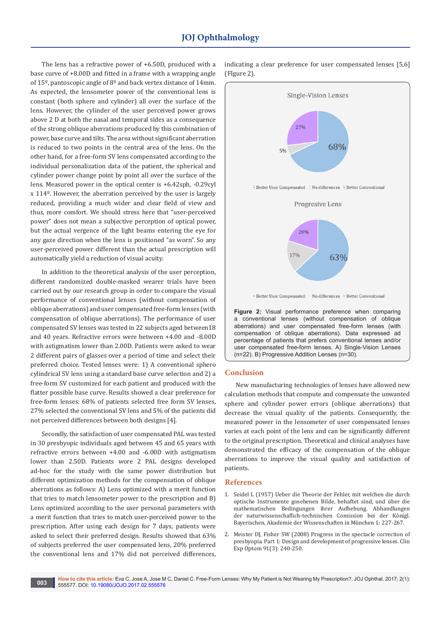# **JOJ Ophthalmology**

The lens has a refractive power of +6.50D, produced with a base curve of +8.00D and fitted in a frame with a wrapping angle of 15º, pantoscopic angle of 8º and back vertex distance of 14mm. As expected, the lensometer power of the conventional lens is constant (both sphere and cylinder) all over the surface of the lens. However, the cylinder of the user perceived power grows above 2 D at both the nasal and temporal sides as a consequence of the strong oblique aberrations produced by this combination of power, base curve and tilts. The area without significant aberration is reduced to two points in the central area of the lens. On the other hand, for a free-form SV lens compensated according to the individual personalization data of the patient, the spherical and cylinder power change point by point all over the surface of the lens. Measured power in the optical center is +6.42sph, -0.29cyl x 114º. However, the aberration perceived by the user is largely reduced, providing a much wider and clear field of view and thus, more comfort. We should stress here that "user-perceived power" does not mean a subjective perception of optical power, but the actual vergence of the light beams entering the eye for any gaze direction when the lens is positioned "as worn". So any user-perceived power different than the actual prescription will automatically yield a reduction of visual acuity.

In addition to the theoretical analysis of the user perception, different randomized double-masked wearer trials have been carried out by our research group in order to compare the visual performance of conventional lenses (without compensation of oblique aberrations) and user compensated free-form lenses (with compensation of oblique aberrations). The performance of user compensated SV lenses was tested in 22 subjects aged between18 and 40 years. Refractive errors were between +4.00 and -8.00D with astigmatism lower than 2.00D. Patients were asked to wear 2 different pairs of glasses over a period of time and select their preferred choice. Tested lenses were: 1) A conventional sphero cylindrical SV lens using a standard base curve selection and 2) a free-form SV customized for each patient and produced with the flatter possible base curve. Results showed a clear preference for free-form lenses: 68% of patients selected free form SV lenses, 27% selected the conventional SV lens and 5% of the patients did not perceived differences between both designs [4].

Secondly, the satisfaction of user compensated PAL was tested in 30 presbyopic individuals aged between 45 and 65 years with refractive errors between +4.00 and -6.00D with astigmatism lower than 2.50D. Patients wore 2 PAL designs developed ad-hoc for the study with the same power distribution but different optimization methods for the compensation of oblique aberrations as follows: A) Lens optimized with a merit function that tries to match lensometer power to the prescription and B) Lens optimized according to the user personal parameters with a merit function that tries to match user-perceived power to the prescription. After using each design for 7 days, patients were asked to select their preferred design. Results showed that 63% of subjects preferred the user compensated lens, 20% preferred the conventional lens and 17% did not perceived differences,

indicating a clear preference for user compensated lenses [5,6] (FIgure 2).



Better User Compensated No differences Better Conventional

**Figure 2:** Visual performance preference when comparing a conventional lenses (without compensation of oblique aberrations) and user compensated free-form lenses (with compensation of oblique aberrations). Data expressed ad percentage of patients that prefers conventional lenses and/or user compensated free-form lenses. A) Single-Vision Lenses (n=22). B) Progressive Addition Lenses (n=30).

## **Conclusion**

New manufacturing technologies of lenses have allowed new calculation methods that compute and compensate the unwanted sphere and cylinder power errors (oblique aberrations) that decrease the visual quality of the patients. Consequently, the measured power in the lensometer of user compensated lenses varies at each point of the lens and can be significantly different to the original prescription. Theoretical and clinical analyses have demonstrated the efficacy of the compensation of the oblique aberrations to improve the visual quality and satisfaction of patients.

## **References**

- 1. Seidel L (1957) Ueber die Theorie der Fehler, mit welchen die durch optische Instrumente gosehenen Bilde, behaftet sind, und über die mathematischen Bedingungen ihrer Aufhebung. Abhandlungen der naturwissenschaflich-technischen Comission bei der Königl. Bayerischen, Akademie der Wissenschaften in München 1: 227-267.
- 2. [Meister DJ, Fisher SW \(2008\) Progress in the spectacle correction of](https://www.ncbi.nlm.nih.gov/pubmed/18279415)  [presbyopia. Part 1: Design and development of progressive lenses. Clin](https://www.ncbi.nlm.nih.gov/pubmed/18279415)  [Exp Optom 91\(3\): 240-250.](https://www.ncbi.nlm.nih.gov/pubmed/18279415)